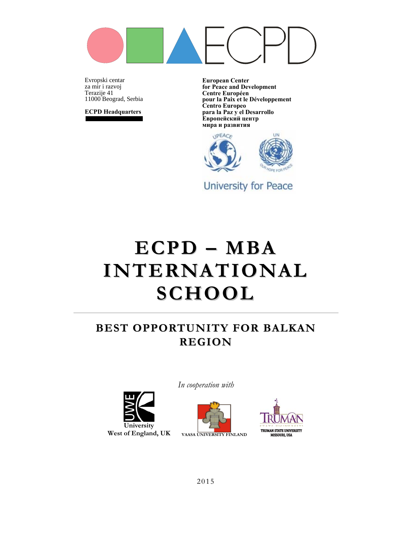

Evropski centarza mir i razvoj Terazije 41 11000 Beograd, Serbia

**ECPD Headquarters**

**European Center for Peace and Development Centre Européen pour la Paix et le Développement Centro Europeo para la Paz y el Desarrollo Европейский центр мира и развития**



University for Peace

# **ECPD – MBA INTERNATIONAL SCHOOL**

### **BEST OPPORTUNITY FOR BALKAN REGION**



*In cooperation with* 



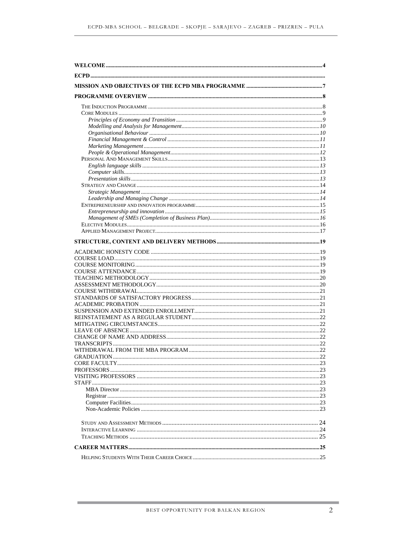| <b>CORE FACULTY</b> |  |
|---------------------|--|
|                     |  |
|                     |  |
|                     |  |
|                     |  |
|                     |  |
|                     |  |
|                     |  |
|                     |  |
|                     |  |
|                     |  |
|                     |  |
|                     |  |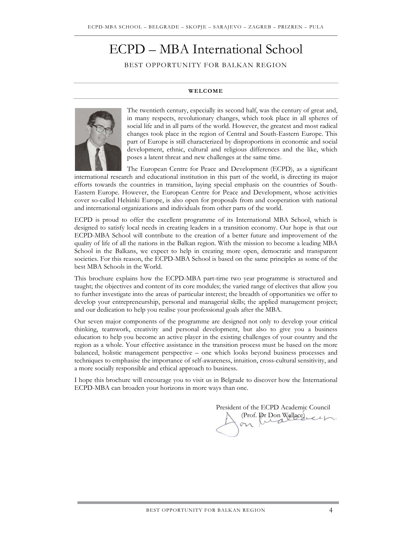## ECPD – MBA International School

BEST OPPORTUNITY FOR BALKAN REGION

#### **WELCOME**



The twentieth century, especially its second half, was the century of great and, in many respects, revolutionary changes, which took place in all spheres of social life and in all parts of the world. However, the greatest and most radical changes took place in the region of Central and South-Eastern Europe. This part of Europe is still characterized by disproportions in economic and social development, ethnic, cultural and religious differences and the like, which poses a latent threat and new challenges at the same time.

The European Centre for Peace and Development (ECPD), as a significant international research and educational institution in this part of the world, is directing its major efforts towards the countries in transition, laying special emphasis on the countries of South-Eastern Europe. However, the European Centre for Peace and Development, whose activities cover so-called Helsinki Europe, is also open for proposals from and cooperation with national and international organizations and individuals from other parts of the world.

ECPD is proud to offer the excellent programme of its International MBA School, which is designed to satisfy local needs in creating leaders in a transition economy. Our hope is that our ECPD-MBA School will contribute to the creation of a better future and improvement of the quality of life of all the nations in the Balkan region. With the mission to become a leading MBA School in the Balkans, we expect to help in creating more open, democratic and transparent societies. For this reason, the ECPD-MBA School is based on the same principles as some of the best MBA Schools in the World.

This brochure explains how the ECPD-MBA part-time two year programme is structured and taught; the objectives and content of its core modules; the varied range of electives that allow you to further investigate into the areas of particular interest; the breadth of opportunities we offer to develop your entrepreneurship, personal and managerial skills; the applied management project; and our dedication to help you realise your professional goals after the MBA.

Our seven major components of the programme are designed not only to develop your critical thinking, teamwork, creativity and personal development, but also to give you a business education to help you become an active player in the existing challenges of your country and the region as a whole. Your effective assistance in the transition process must be based on the more balanced, holistic management perspective – one which looks beyond business processes and techniques to emphasise the importance of self-awareness, intuition, cross-cultural sensitivity, and a more socially responsible and ethical approach to business.

I hope this brochure will encourage you to visit us in Belgrade to discover how the International ECPD-MBA can broaden your horizons in more ways than one.

President of the ECPD Academic Council (Prof. Dr Don Wallace)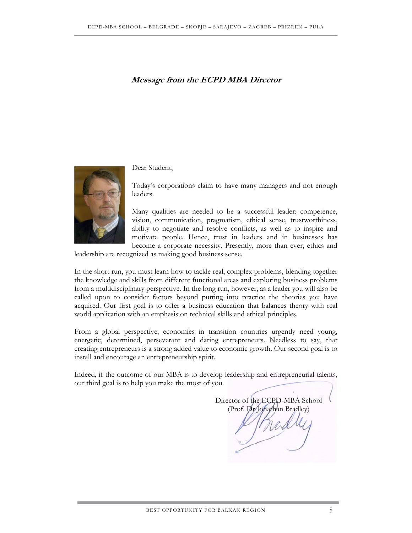### **Message from the ECPD MBA Director**



#### Dear Student,

Today's corporations claim to have many managers and not enough leaders.

Many qualities are needed to be a successful leader: competence, vision, communication, pragmatism, ethical sense, trustworthiness, ability to negotiate and resolve conflicts, as well as to inspire and motivate people. Hence, trust in leaders and in businesses has become a corporate necessity. Presently, more than ever, ethics and

leadership are recognized as making good business sense.

In the short run, you must learn how to tackle real, complex problems, blending together the knowledge and skills from different functional areas and exploring business problems from a multidisciplinary perspective. In the long run, however, as a leader you will also be called upon to consider factors beyond putting into practice the theories you have acquired. Our first goal is to offer a business education that balances theory with real world application with an emphasis on technical skills and ethical principles.

From a global perspective, economies in transition countries urgently need young, energetic, determined, perseverant and daring entrepreneurs. Needless to say, that creating entrepreneurs is a strong added value to economic growth. Our second goal is to install and encourage an entrepreneurship spirit.

Indeed, if the outcome of our MBA is to develop leadership and entrepreneurial talents, our third goal is to help you make the most of you.

Director of the ECPD-MBA School (Prof. Dr Jonathan Bradley)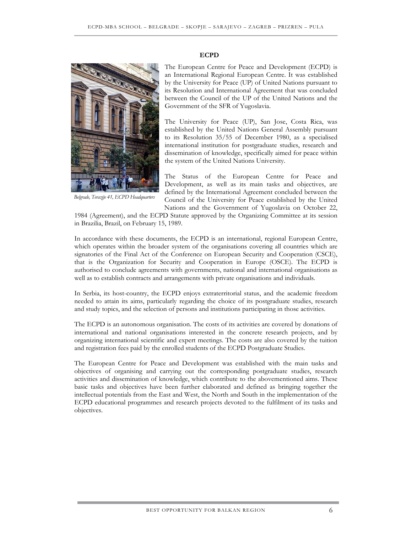#### **ECPD**



*Belgrade, Terazije 41, ECPD Headquarters* 

The European Centre for Peace and Development (ECPD) is an International Regional European Centre. It was established by the University for Peace (UP) of United Nations pursuant to its Resolution and International Agreement that was concluded between the Council of the UP of the United Nations and the Government of the SFR of Yugoslavia.

The University for Peace (UP), San Jose, Costa Rica, was established by the United Nations General Assembly pursuant to its Resolution 35/55 of December 1980, as a specialised international institution for postgraduate studies, research and dissemination of knowledge, specifically aimed for peace within the system of the United Nations University.

The Status of the European Centre for Peace and Development, as well as its main tasks and objectives, are defined by the International Agreement concluded between the Council of the University for Peace established by the United Nations and the Government of Yugoslavia on October 22,

1984 (Agreement), and the ECPD Statute approved by the Organizing Committee at its session in Brazilia, Brazil, on February 15, 1989.

In accordance with these documents, the ECPD is an international, regional European Centre, which operates within the broader system of the organisations covering all countries which are signatories of the Final Act of the Conference on European Security and Cooperation (CSCE), that is the Organization for Security and Cooperation in Europe (OSCE). The ECPD is authorised to conclude agreements with governments, national and international organisations as well as to establish contracts and arrangements with private organisations and individuals.

In Serbia, its host-country, the ECPD enjoys extraterritorial status, and the academic freedom needed to attain its aims, particularly regarding the choice of its postgraduate studies, research and study topics, and the selection of persons and institutions participating in those activities.

The ECPD is an autonomous organisation. The costs of its activities are covered by donations of international and national organisations interested in the concrete research projects, and by organizing international scientific and expert meetings. The costs are also covered by the tuition and registration fees paid by the enrolled students of the ECPD Postgraduate Studies.

The European Centre for Peace and Development was established with the main tasks and objectives of organising and carrying out the corresponding postgraduate studies, research activities and dissemination of knowledge, which contribute to the abovementioned aims. These basic tasks and objectives have been further elaborated and defined as bringing together the intellectual potentials from the East and West, the North and South in the implementation of the ECPD educational programmes and research projects devoted to the fulfilment of its tasks and objectives.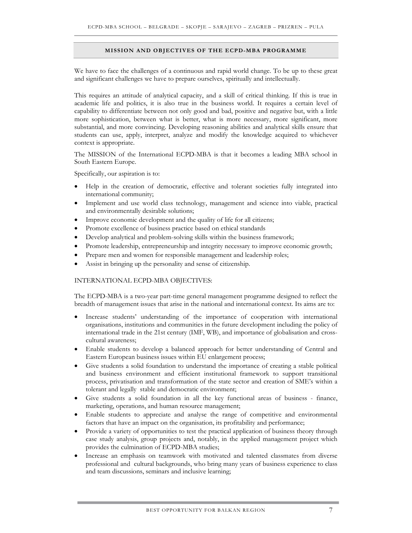#### **MISSION AND OBJECTIVES OF THE ECPD-MBA PROGRAMME**

We have to face the challenges of a continuous and rapid world change. To be up to these great and significant challenges we have to prepare ourselves, spiritually and intellectually.

This requires an attitude of analytical capacity, and a skill of critical thinking. If this is true in academic life and politics, it is also true in the business world. It requires a certain level of capability to differentiate between not only good and bad, positive and negative but, with a little more sophistication, between what is better, what is more necessary, more significant, more substantial, and more convincing. Developing reasoning abilities and analytical skills ensure that students can use, apply, interpret, analyze and modify the knowledge acquired to whichever context is appropriate.

The MISSION of the International ECPD-MBA is that it becomes a leading MBA school in South Eastern Europe.

Specifically, our aspiration is to:

- Help in the creation of democratic, effective and tolerant societies fully integrated into international community;
- Implement and use world class technology, management and science into viable, practical and environmentally desirable solutions;
- Improve economic development and the quality of life for all citizens;
- Promote excellence of business practice based on ethical standards
- Develop analytical and problem-solving skills within the business framework;
- Promote leadership, entrepreneurship and integrity necessary to improve economic growth;
- Prepare men and women for responsible management and leadership roles;
- Assist in bringing up the personality and sense of citizenship.

#### INTERNATIONAL ECPD-MBA OBJECTIVES:

The ECPD-MBA is a two-year part-time general management programme designed to reflect the breadth of management issues that arise in the national and international context. Its aims are to:

- Increase students' understanding of the importance of cooperation with international organisations, institutions and communities in the future development including the policy of international trade in the 21st century (IMF, WB), and importance of globalisation and crosscultural awareness;
- Enable students to develop a balanced approach for better understanding of Central and Eastern European business issues within EU enlargement process;
- Give students a solid foundation to understand the importance of creating a stable political and business environment and efficient institutional framework to support transitional process, privatisation and transformation of the state sector and creation of SME's within a tolerant and legally stable and democratic environment;
- Give students a solid foundation in all the key functional areas of business finance, marketing, operations, and human resource management;
- Enable students to appreciate and analyse the range of competitive and environmental factors that have an impact on the organisation, its profitability and performance;
- Provide a variety of opportunities to test the practical application of business theory through case study analysis, group projects and, notably, in the applied management project which provides the culmination of ECPD-MBA studies;
- Increase an emphasis on teamwork with motivated and talented classmates from diverse professional and cultural backgrounds, who bring many years of business experience to class and team discussions, seminars and inclusive learning;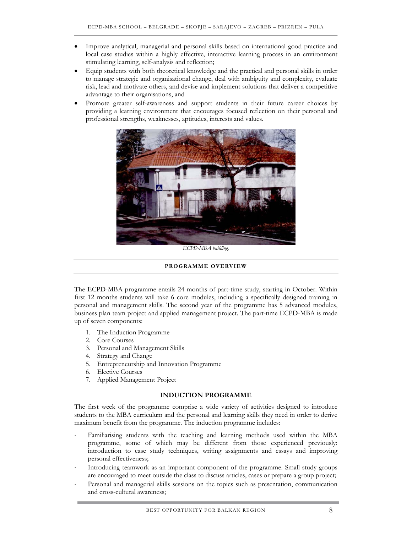- Improve analytical, managerial and personal skills based on international good practice and local case studies within a highly effective, interactive learning process in an environment stimulating learning, self-analysis and reflection;
- Equip students with both theoretical knowledge and the practical and personal skills in order to manage strategic and organisational change, deal with ambiguity and complexity, evaluate risk, lead and motivate others, and devise and implement solutions that deliver a competitive advantage to their organisations, and
- Promote greater self-awareness and support students in their future career choices by providing a learning environment that encourages focused reflection on their personal and professional strengths, weaknesses, aptitudes, interests and values.



*ECPD-MBA building,* 

#### **PROGRAMME OVERVIEW**

The ECPD-MBA programme entails 24 months of part-time study, starting in October. Within first 12 months students will take 6 core modules, including a specifically designed training in personal and management skills. The second year of the programme has 5 advanced modules, business plan team project and applied management project. The part-time ECPD-MBA is made up of seven components:

- 1. The Induction Programme
- 2. Core Courses
- 3. Personal and Management Skills
- 4. Strategy and Change
- 5. Entrepreneurship and Innovation Programme
- 6. Elective Courses
- 7. Applied Management Project

#### **INDUCTION PROGRAMME**

The first week of the programme comprise a wide variety of activities designed to introduce students to the MBA curriculum and the personal and learning skills they need in order to derive maximum benefit from the programme. The induction programme includes:

- Familiarising students with the teaching and learning methods used within the MBA programme, some of which may be different from those experienced previously: introduction to case study techniques, writing assignments and essays and improving personal effectiveness;
- Introducing teamwork as an important component of the programme. Small study groups are encouraged to meet outside the class to discuss articles, cases or prepare a group project;
- Personal and managerial skills sessions on the topics such as presentation, communication and cross-cultural awareness;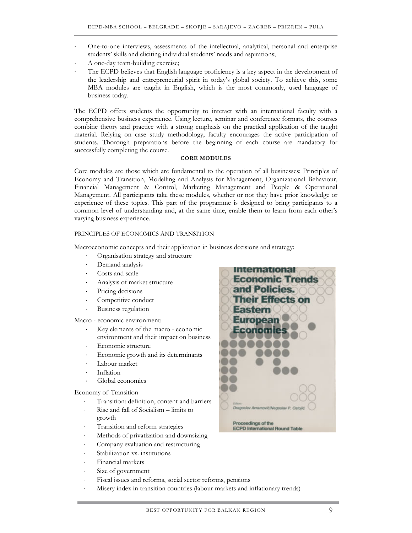- One-to-one interviews, assessments of the intellectual, analytical, personal and enterprise students' skills and eliciting individual students' needs and aspirations;
- A one-day team-building exercise;
- The ECPD believes that English language proficiency is a key aspect in the development of the leadership and entrepreneurial spirit in today's global society. To achieve this, some MBA modules are taught in English, which is the most commonly, used language of business today.

The ECPD offers students the opportunity to interact with an international faculty with a comprehensive business experience. Using lecture, seminar and conference formats, the courses combine theory and practice with a strong emphasis on the practical application of the taught material. Relying on case study methodology, faculty encourages the active participation of students. Thorough preparations before the beginning of each course are mandatory for successfully completing the course.

#### **CORE MODULES**

Core modules are those which are fundamental to the operation of all businesses: Principles of Economy and Transition, Modelling and Analysis for Management, Organizational Behaviour, Financial Management & Control, Marketing Management and People & Operational Management. All participants take these modules, whether or not they have prior knowledge or experience of these topics. This part of the programme is designed to bring participants to a common level of understanding and, at the same time, enable them to learn from each other's varying business experience.

#### PRINCIPLES OF ECONOMICS AND TRANSITION

Macroeconomic concepts and their application in business decisions and strategy:

- Organisation strategy and structure
- Demand analysis
- Costs and scale
- ⋅ Analysis of market structure
- Pricing decisions
- Competitive conduct
- ⋅ Business regulation

Macro - economic environment:

- Key elements of the macro economic environment and their impact on business
- Economic structure
- Economic growth and its determinants
- Labour market
- ⋅ Inflation
- Global economics

Economy of Transition

- ⋅ Transition: definition, content and barriers
- ⋅ Rise and fall of Socialism limits to growth
- ⋅ Transition and reform strategies
- Methods of privatization and downsizing
- ⋅ Company evaluation and restructuring
- Stabilization vs. institutions
- ⋅ Financial markets
- Size of government
- Fiscal issues and reforms, social sector reforms, pensions
- Misery index in transition countries (labour markets and inflationary trends)

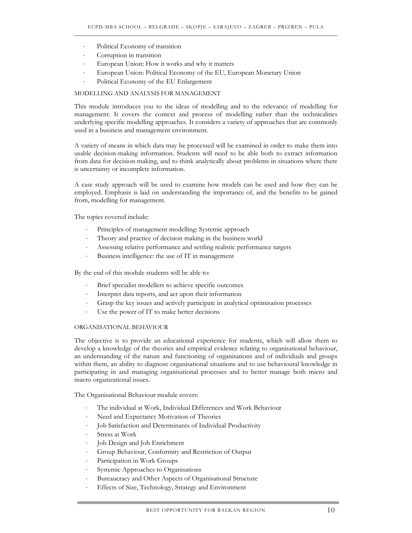- Political Economy of transition
- Corruption in transition
- European Union: How it works and why it matters
- European Union: Political Economy of the EU, European Monetary Union
- Political Economy of the EU Enlargement

#### MODELLING AND ANALYSIS FOR MANAGEMENT

This module introduces you to the ideas of modelling and to the relevance of modelling for management. It covers the context and process of modelling rather than the technicalities underlying specific modelling approaches. It considers a variety of approaches that are commonly used in a business and management environment.

A variety of means in which data may be processed will be examined in order to make them into usable decision-making information. Students will need to be able both to extract information from data for decision-making, and to think analytically about problems in situations where there is uncertainty or incomplete information.

A case study approach will be used to examine how models can be used and how they can be employed. Emphasis is laid on understanding the importance of, and the benefits to be gained from, modelling for management.

The topics covered include:

- Principles of management modelling: Systemic approach
- Theory and practice of decision making in the business world
- Assessing relative performance and settling realistic performance targets
- Business intelligence: the use of IT in management

By the end of this module students will be able to:

- Brief specialist modellers to achieve specific outcomes
- Interpret data reports, and act upon their information
- Grasp the key issues and actively participate in analytical optimisation processes
- Use the power of IT to make better decisions

#### ORGANISATIONAL BEHAVIOUR

The objective is to provide an educational experience for students, which will allow them to develop a knowledge of the theories and empirical evidence relating to organisational behaviour, an understanding of the nature and functioning of organisations and of individuals and groups within them, an ability to diagnose organisational situations and to use behavioural knowledge in participating in and managing organisational processes and to better manage both micro and macro organizational issues.

The Organisational Behaviour module covers:

- The individual at Work, Individual Differences and Work Behaviour
- Need and Expectancy Motivation of Theories
- Job Satisfaction and Determinants of Individual Productivity
- Stress at Work
- ⋅ Job Design and Job Enrichment
- ⋅ Group Behaviour, Conformity and Restriction of Output
- Participation in Work Groups
- Systemic Approaches to Organisations
- Bureaucracy and Other Aspects of Organisational Structure
- Effects of Size, Technology, Strategy and Environment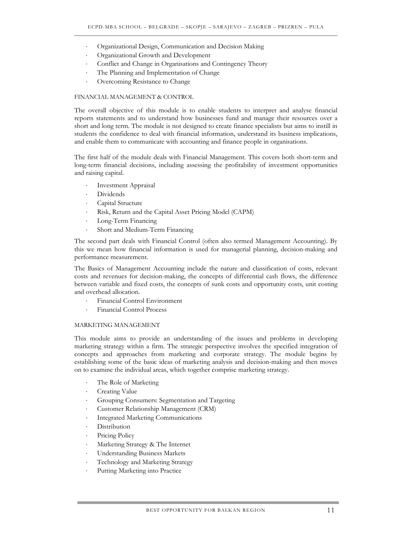- ⋅ Organizational Design, Communication and Decision Making
- Organizational Growth and Development
- Conflict and Change in Organisations and Contingency Theory
- The Planning and Implementation of Change
- Overcoming Resistance to Change

#### FINANCIAL MANAGEMENT & CONTROL

The overall objective of this module is to enable students to interpret and analyse financial reports statements and to understand how businesses fund and manage their resources over a short and long term. The module is not designed to create finance specialists but aims to instill in students the confidence to deal with financial information, understand its business implications, and enable them to communicate with accounting and finance people in organisations.

The first half of the module deals with Financial Management. This covers both short-term and long-term financial decisions, including assessing the profitability of investment opportunities and raising capital.

- Investment Appraisal
- Dividends
- Capital Structure
- ⋅ Risk, Return and the Capital Asset Pricing Model (CAPM)
- ⋅ Long-Term Financing
- Short and Medium-Term Financing

The second part deals with Financial Control (often also termed Management Accounting). By this we mean how financial information is used for managerial planning, decision-making and performance measurement.

The Basics of Management Accounting include the nature and classification of costs, relevant costs and revenues for decision-making, the concepts of differential cash flows, the difference between variable and fixed costs, the concepts of sunk costs and opportunity costs, unit costing and overhead allocation.

- ⋅ Financial Control Environment
- ⋅ Financial Control Process

#### MARKETING MANAGEMENT

This module aims to provide an understanding of the issues and problems in developing marketing strategy within a firm. The strategic perspective involves the specified integration of concepts and approaches from marketing and corporate strategy. The module begins by establishing some of the basic ideas of marketing analysis and decision-making and then moves on to examine the individual areas, which together comprise marketing strategy.

- The Role of Marketing
- Creating Value
- ⋅ Grouping Consumers: Segmentation and Targeting
- ⋅ Customer Relationship Management (CRM)
- ⋅ Integrated Marketing Communications
- **Distribution**
- Pricing Policy
- Marketing Strategy & The Internet
- Understanding Business Markets
- Technology and Marketing Strategy
- Putting Marketing into Practice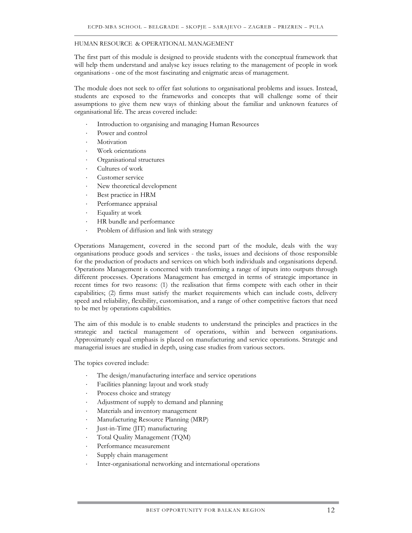#### HUMAN RESOURCE & OPERATIONAL MANAGEMENT

The first part of this module is designed to provide students with the conceptual framework that will help them understand and analyse key issues relating to the management of people in work organisations - one of the most fascinating and enigmatic areas of management.

The module does not seek to offer fast solutions to organisational problems and issues. Instead, students are exposed to the frameworks and concepts that will challenge some of their assumptions to give them new ways of thinking about the familiar and unknown features of organisational life. The areas covered include:

- Introduction to organising and managing Human Resources
- Power and control
- **Motivation**
- Work orientations
- ⋅ Organisational structures
- Cultures of work
- Customer service
- New theoretical development
- Best practice in HRM
- Performance appraisal
- Equality at work
- HR bundle and performance
- Problem of diffusion and link with strategy

Operations Management, covered in the second part of the module, deals with the way organisations produce goods and services - the tasks, issues and decisions of those responsible for the production of products and services on which both individuals and organisations depend. Operations Management is concerned with transforming a range of inputs into outputs through different processes. Operations Management has emerged in terms of strategic importance in recent times for two reasons: (1) the realisation that firms compete with each other in their capabilities; (2) firms must satisfy the market requirements which can include costs, delivery speed and reliability, flexibility, customisation, and a range of other competitive factors that need to be met by operations capabilities.

The aim of this module is to enable students to understand the principles and practices in the strategic and tactical management of operations, within and between organisations. Approximately equal emphasis is placed on manufacturing and service operations. Strategic and managerial issues are studied in depth, using case studies from various sectors.

The topics covered include:

- The design/manufacturing interface and service operations
- ⋅ Facilities planning: layout and work study
- Process choice and strategy
- ⋅ Adjustment of supply to demand and planning
- Materials and inventory management
- ⋅ Manufacturing Resource Planning (MRP)
- ⋅ Just-in-Time (JIT) manufacturing
- ⋅ Total Quality Management (TQM)
- Performance measurement
- Supply chain management
- Inter-organisational networking and international operations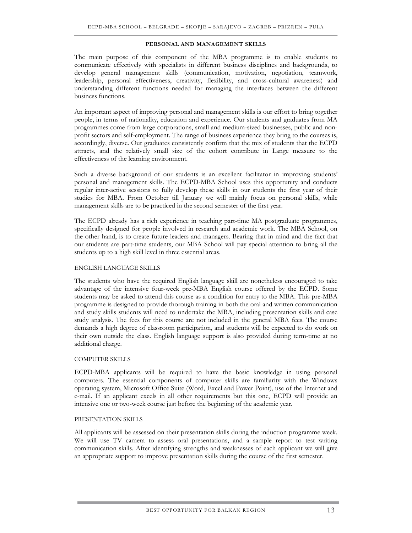#### **PERSONAL AND MANAGEMENT SKILLS**

The main purpose of this component of the MBA programme is to enable students to communicate effectively with specialists in different business disciplines and backgrounds, to develop general management skills (communication, motivation, negotiation, teamwork, leadership, personal effectiveness, creativity, flexibility, and cross-cultural awareness) and understanding different functions needed for managing the interfaces between the different business functions.

An important aspect of improving personal and management skills is our effort to bring together people, in terms of nationality, education and experience. Our students and graduates from MA programmes come from large corporations, small and medium-sized businesses, public and nonprofit sectors and self-employment. The range of business experience they bring to the courses is, accordingly, diverse. Our graduates consistently confirm that the mix of students that the ECPD attracts, and the relatively small size of the cohort contribute in Lange measure to the effectiveness of the learning environment.

Such a diverse background of our students is an excellent facilitator in improving students' personal and management skills. The ECPD-MBA School uses this opportunity and conducts regular inter-active sessions to fully develop these skills in our students the first year of their studies for MBA. From October till January we will mainly focus on personal skills, while management skills are to be practiced in the second semester of the first year.

The ECPD already has a rich experience in teaching part-time MA postgraduate programmes, specifically designed for people involved in research and academic work. The MBA School, on the other hand, is to create future leaders and managers. Bearing that in mind and the fact that our students are part-time students, our MBA School will pay special attention to bring all the students up to a high skill level in three essential areas.

#### ENGLISH LANGUAGE SKILLS

The students who have the required English language skill are nonetheless encouraged to take advantage of the intensive four-week pre-MBA English course offered by the ECPD. Some students may be asked to attend this course as a condition for entry to the MBA. This pre-MBA programme is designed to provide thorough training in both the oral and written communication and study skills students will need to undertake the MBA, including presentation skills and case study analysis. The fees for this course are not included in the general MBA fees. The course demands a high degree of classroom participation, and students will be expected to do work on their own outside the class. English language support is also provided during term-time at no additional charge.

#### COMPUTER SKILLS

ECPD-MBA applicants will be required to have the basic knowledge in using personal computers. The essential components of computer skills are familiarity with the Windows operating system, Microsoft Office Suite (Word, Excel and Power Point), use of the Internet and e-mail. If an applicant excels in all other requirements but this one, ECPD will provide an intensive one or two-week course just before the beginning of the academic year.

#### PRESENTATION SKILLS

All applicants will be assessed on their presentation skills during the induction programme week. We will use TV camera to assess oral presentations, and a sample report to test writing communication skills. After identifying strengths and weaknesses of each applicant we will give an appropriate support to improve presentation skills during the course of the first semester.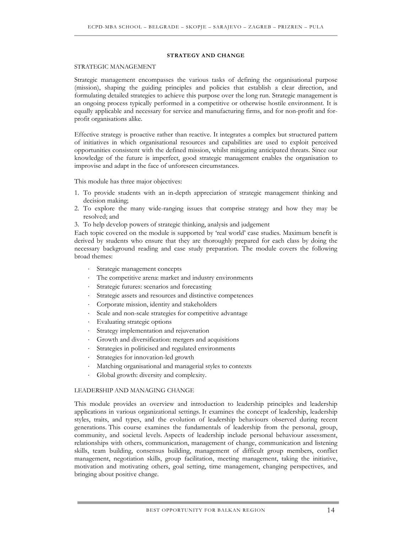#### **STRATEGY AND CHANGE**

#### STRATEGIC MANAGEMENT

Strategic management encompasses the various tasks of defining the organisational purpose (mission), shaping the guiding principles and policies that establish a clear direction, and formulating detailed strategies to achieve this purpose over the long run. Strategic management is an ongoing process typically performed in a competitive or otherwise hostile environment. It is equally applicable and necessary for service and manufacturing firms, and for non-profit and forprofit organisations alike.

Effective strategy is proactive rather than reactive. It integrates a complex but structured pattern of initiatives in which organisational resources and capabilities are used to exploit perceived opportunities consistent with the defined mission, whilst mitigating anticipated threats. Since our knowledge of the future is imperfect, good strategic management enables the organisation to improvise and adapt in the face of unforeseen circumstances.

This module has three major objectives:

- 1. To provide students with an in-depth appreciation of strategic management thinking and decision making;
- 2. To explore the many wide-ranging issues that comprise strategy and how they may be resolved; and
- 3. To help develop powers of strategic thinking, analysis and judgement

Each topic covered on the module is supported by 'real world' case studies. Maximum benefit is derived by students who ensure that they are thoroughly prepared for each class by doing the necessary background reading and case study preparation. The module covers the following broad themes:

- Strategic management concepts
- The competitive arena: market and industry environments
- Strategic futures: scenarios and forecasting
- Strategic assets and resources and distinctive competences
- ⋅ Corporate mission, identity and stakeholders
- Scale and non-scale strategies for competitive advantage
- Evaluating strategic options
- Strategy implementation and rejuvenation
- Growth and diversification: mergers and acquisitions
- Strategies in politicised and regulated environments
- Strategies for innovation-led growth
- Matching organisational and managerial styles to contexts
- Global growth: diversity and complexity.

#### LEADERSHIP AND MANAGING CHANGE

This module provides an overview and introduction to leadership principles and leadership applications in various organizational settings. It examines the concept of leadership, leadership styles, traits, and types, and the evolution of leadership behaviours observed during recent generations. This course examines the fundamentals of leadership from the personal, group, community, and societal levels. Aspects of leadership include personal behaviour assessment, relationships with others, communication, management of change, communication and listening skills, team building, consensus building, management of difficult group members, conflict management, negotiation skills, group facilitation, meeting management, taking the initiative, motivation and motivating others, goal setting, time management, changing perspectives, and bringing about positive change.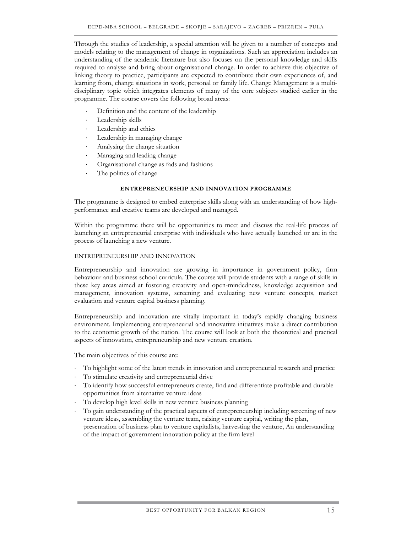Through the studies of leadership, a special attention will be given to a number of concepts and models relating to the management of change in organisations. Such an appreciation includes an understanding of the academic literature but also focuses on the personal knowledge and skills required to analyse and bring about organisational change. In order to achieve this objective of linking theory to practice, participants are expected to contribute their own experiences of, and learning from, change situations in work, personal or family life. Change Management is a multidisciplinary topic which integrates elements of many of the core subjects studied earlier in the programme. The course covers the following broad areas:

- Definition and the content of the leadership
- Leadership skills
- Leadership and ethics
- Leadership in managing change
- ⋅ Analysing the change situation
- Managing and leading change
- ⋅ Organisational change as fads and fashions
- The politics of change

#### **ENTREPRENEURSHIP AND INNOVATION PROGRAMME**

The programme is designed to embed enterprise skills along with an understanding of how highperformance and creative teams are developed and managed.

Within the programme there will be opportunities to meet and discuss the real-life process of launching an entrepreneurial enterprise with individuals who have actually launched or are in the process of launching a new venture.

#### ENTREPRENEURSHIP AND INNOVATION

Entrepreneurship and innovation are growing in importance in government policy, firm behaviour and business school curricula. The course will provide students with a range of skills in these key areas aimed at fostering creativity and open-mindedness, knowledge acquisition and management, innovation systems, screening and evaluating new venture concepts, market evaluation and venture capital business planning.

Entrepreneurship and innovation are vitally important in today's rapidly changing business environment. Implementing entrepreneurial and innovative initiatives make a direct contribution to the economic growth of the nation. The course will look at both the theoretical and practical aspects of innovation, entrepreneurship and new venture creation.

The main objectives of this course are:

- To highlight some of the latest trends in innovation and entrepreneurial research and practice
- To stimulate creativity and entrepreneurial drive
- To identify how successful entrepreneurs create, find and differentiate profitable and durable opportunities from alternative venture ideas
- To develop high level skills in new venture business planning
- To gain understanding of the practical aspects of entrepreneurship including screening of new venture ideas, assembling the venture team, raising venture capital, writing the plan, presentation of business plan to venture capitalists, harvesting the venture, An understanding of the impact of government innovation policy at the firm level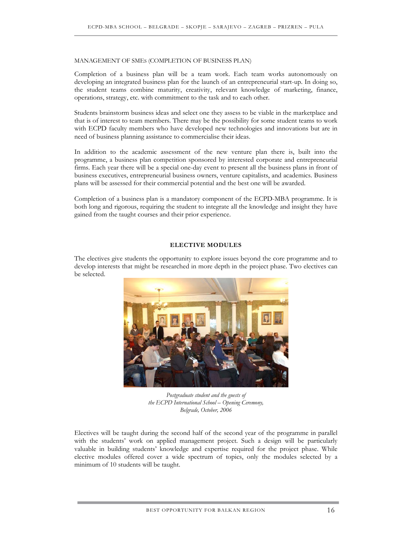#### MANAGEMENT OF SMES (COMPLETION OF BUSINESS PLAN)

Completion of a business plan will be a team work. Each team works autonomously on developing an integrated business plan for the launch of an entrepreneurial start-up. In doing so, the student teams combine maturity, creativity, relevant knowledge of marketing, finance, operations, strategy, etc. with commitment to the task and to each other.

Students brainstorm business ideas and select one they assess to be viable in the marketplace and that is of interest to team members. There may be the possibility for some student teams to work with ECPD faculty members who have developed new technologies and innovations but are in need of business planning assistance to commercialise their ideas.

In addition to the academic assessment of the new venture plan there is, built into the programme, a business plan competition sponsored by interested corporate and entrepreneurial firms. Each year there will be a special one-day event to present all the business plans in front of business executives, entrepreneurial business owners, venture capitalists, and academics. Business plans will be assessed for their commercial potential and the best one will be awarded.

Completion of a business plan is a mandatory component of the ECPD-MBA programme. It is both long and rigorous, requiring the student to integrate all the knowledge and insight they have gained from the taught courses and their prior experience.

#### **ELECTIVE MODULES**

The electives give students the opportunity to explore issues beyond the core programme and to develop interests that might be researched in more depth in the project phase. Two electives can be selected.



*Postgraduate student and the guests of the ECPD International School – Opening Ceremony, Belgrade, October, 2006* 

Electives will be taught during the second half of the second year of the programme in parallel with the students' work on applied management project. Such a design will be particularly valuable in building students' knowledge and expertise required for the project phase. While elective modules offered cover a wide spectrum of topics, only the modules selected by a minimum of 10 students will be taught.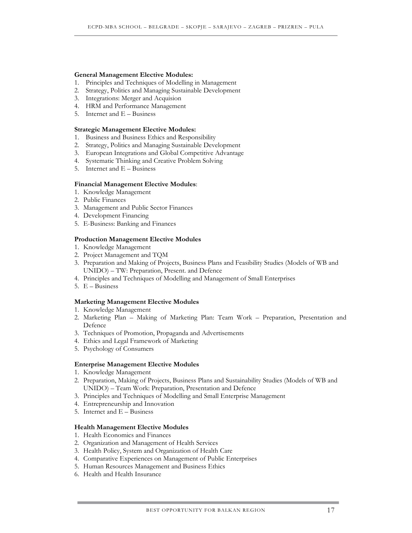#### **General Management Elective Modules:**

- 1. Principles and Techniques of Modelling in Management
- 2. Strategy, Politics and Managing Sustainable Development
- 3. Integrations: Merger and Acquision
- 4. HRM and Performance Management
- 5. Internet and E Business

#### **Strategic Management Elective Modules:**

- 1. Business and Business Ethics and Responsibility
- 2. Strategy, Politics and Managing Sustainable Development
- 3. European Integrations and Global Competitive Advantage
- 4. Systematic Thinking and Creative Problem Solving
- 5. Internet and E Business

#### **Financial Management Elective Modules**:

- 1. Knowledge Management
- 2. Public Finances
- 3. Management and Public Sector Finances
- 4. Development Financing
- 5. E-Business: Banking and Finances

#### **Production Management Elective Modules**

- 1. Knowledge Management
- 2. Project Management and TQM
- 3. Preparation and Making of Projects, Business Plans and Feasibility Studies (Models of WB and UNIDO) – TW: Preparation, Present. and Defence
- 4. Principles and Techniques of Modelling and Management of Small Enterprises
- 5. E Business

#### **Marketing Management Elective Modules**

- 1. Knowledge Management
- 2. Marketing Plan Making of Marketing Plan: Team Work Preparation, Presentation and Defence
- 3. Techniques of Promotion, Propaganda and Advertisements
- 4. Ethics and Legal Framework of Marketing
- 5. Psychology of Consumers

#### **Enterprise Management Elective Modules**

- 1. Knowledge Management
- 2. Preparation, Making of Projects, Business Plans and Sustainability Studies (Models of WB and UNIDO) – Team Work: Preparation, Presentation and Defence
- 3. Principles and Techniques of Modelling and Small Enterprise Management
- 4. Entrepreneurship and Innovation
- 5. Internet and E Business

#### **Health Management Elective Modules**

- 1. Health Economics and Finances
- 2. Organization and Management of Health Services
- 3. Health Policy, System and Organization of Health Care
- 4. Comparative Experiences on Management of Public Enterprises
- 5. Human Resources Management and Business Ethics
- 6. Health and Health Insurance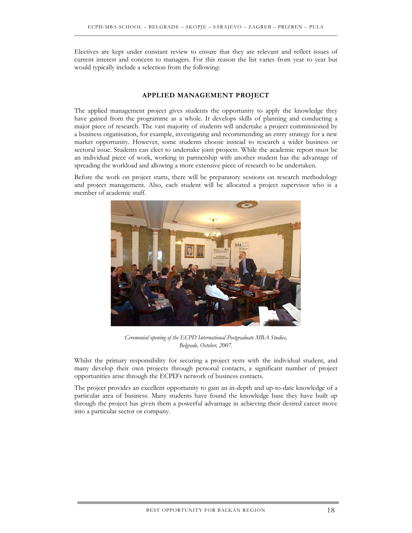Electives are kept under constant review to ensure that they are relevant and reflect issues of current interest and concern to managers. For this reason the list varies from year to year but would typically include a selection from the following:

#### **APPLIED MANAGEMENT PROJECT**

The applied management project gives students the opportunity to apply the knowledge they have gained from the programme as a whole. It develops skills of planning and conducting a major piece of research. The vast majority of students will undertake a project commissioned by a business organisation, for example, investigating and recommending an entry strategy for a new market opportunity. However, some students choose instead to research a wider business or sectoral issue. Students can elect to undertake joint projects. While the academic report must be an individual piece of work, working in partnership with another student has the advantage of spreading the workload and allowing a more extensive piece of research to be undertaken.

Before the work on project starts, there will be preparatory sessions on research methodology and project management. Also, each student will be allocated a project supervisor who is a member of academic staff.



*Ceremonial opening of the ECPD International Postgraduate MBA Studies, Belgrade, October, 2007.* 

Whilst the primary responsibility for securing a project rests with the individual student, and many develop their own projects through personal contacts, a significant number of project opportunities arise through the ECPD's network of business contacts.

The project provides an excellent opportunity to gain an in-depth and up-to-date knowledge of a particular area of business. Many students have found the knowledge base they have built up through the project has given them a powerful advantage in achieving their desired career move into a particular sector or company.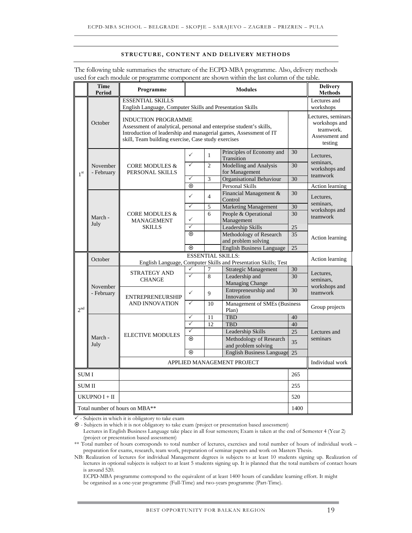#### **STRUCTURE, CONTENT AND DELIVERY METHODS**

| The following table summarises the structure of the ECPD-MBA programme. Also, delivery methods |
|------------------------------------------------------------------------------------------------|
| used for each module or programme component are shown within the last column of the table.     |

|                 | Time<br>Period         | Programme                                                                                                                                                                                                                     | <b>Modules</b>                                                  |                | <b>Delivery</b><br><b>Methods</b>              |                           |                                                                                |  |
|-----------------|------------------------|-------------------------------------------------------------------------------------------------------------------------------------------------------------------------------------------------------------------------------|-----------------------------------------------------------------|----------------|------------------------------------------------|---------------------------|--------------------------------------------------------------------------------|--|
|                 |                        | <b>ESSENTIAL SKILLS</b><br>English Language, Computer Skills and Presentation Skills                                                                                                                                          |                                                                 |                |                                                | Lectures and<br>workshops |                                                                                |  |
| $1^{\rm st}$    | October                | <b>INDUCTION PROGRAMME</b><br>Assessment of analytical, personal and enterprise student's skills,<br>Introduction of leadership and managerial games, Assessment of IT<br>skill, Team building exercise, Case study exercises |                                                                 |                |                                                |                           | Lectures, seminars.<br>workshops and<br>teamwork.<br>Assessment and<br>testing |  |
|                 | November<br>- February | <b>CORE MODULES &amp;</b><br>PERSONAL SKILLS                                                                                                                                                                                  | $\checkmark$                                                    | $\mathbf{1}$   | Principles of Economy and<br>Transition        | 30                        | Lectures,                                                                      |  |
|                 |                        |                                                                                                                                                                                                                               | $\checkmark$                                                    | $\overline{2}$ | Modelling and Analysis<br>for Management       | 30                        | seminars,<br>workshops and<br>teamwork                                         |  |
|                 |                        |                                                                                                                                                                                                                               | $\checkmark$                                                    | 3              | <b>Organisational Behaviour</b>                | 30                        |                                                                                |  |
|                 |                        |                                                                                                                                                                                                                               | $\odot$                                                         |                | <b>Personal Skills</b>                         |                           | Action learning                                                                |  |
|                 |                        |                                                                                                                                                                                                                               | $\checkmark$                                                    | $\overline{4}$ | Financial Management &<br>Control              | 30                        | Lectures,                                                                      |  |
|                 |                        |                                                                                                                                                                                                                               | $\checkmark$                                                    | 5              | <b>Marketing Management</b>                    | 30                        | seminars.<br>workshops and                                                     |  |
|                 | March -                | <b>CORE MODULES &amp;</b><br><b>MANAGEMENT</b>                                                                                                                                                                                | $\checkmark$                                                    | 6              | People & Operational<br>Management             | 30                        | teamwork                                                                       |  |
|                 | July                   | <b>SKILLS</b>                                                                                                                                                                                                                 | ✓                                                               |                | Leadership Skills                              | 25                        |                                                                                |  |
|                 |                        |                                                                                                                                                                                                                               | $\odot$                                                         |                | Methodology of Research<br>and problem solving | 35                        | Action learning                                                                |  |
|                 |                        |                                                                                                                                                                                                                               | $\odot$                                                         |                | <b>English Business Language</b>               | 25                        |                                                                                |  |
|                 |                        | <b>ESSENTIAL SKILLS:</b>                                                                                                                                                                                                      |                                                                 |                |                                                |                           |                                                                                |  |
|                 | October                |                                                                                                                                                                                                                               | English Language, Computer Skills and Presentation Skills; Test |                |                                                | Action learning           |                                                                                |  |
|                 | November<br>- February | <b>STRATEGY AND</b><br><b>CHANGE</b>                                                                                                                                                                                          | $\checkmark$                                                    | 7              | Strategic Management                           | 30                        | Lectures,                                                                      |  |
|                 |                        |                                                                                                                                                                                                                               | $\checkmark$                                                    | 8              | Leadership and<br>Managing Change              | 30                        | seminars,                                                                      |  |
|                 |                        | <b>ENTREPRENEURSHIP</b><br>AND INNOVATION                                                                                                                                                                                     | $\checkmark$                                                    | 9              | Entrepreneurship and<br>Innovation             | 30                        | workshops and<br>teamwork                                                      |  |
| 2 <sup>nd</sup> |                        |                                                                                                                                                                                                                               | $\checkmark$                                                    | 10             | Management of SMEs (Business<br>Plan)          |                           | Group projects                                                                 |  |
|                 | March -<br>July        |                                                                                                                                                                                                                               |                                                                 | $\checkmark$   | 11                                             | <b>TBD</b>                | 40                                                                             |  |
|                 |                        | <b>ELECTIVE MODULES</b>                                                                                                                                                                                                       | $\checkmark$                                                    | 12             | <b>TBD</b>                                     | 40                        | Lectures and<br>seminars                                                       |  |
|                 |                        |                                                                                                                                                                                                                               | $\checkmark$                                                    |                | Leadership Skills                              | 25                        |                                                                                |  |
|                 |                        |                                                                                                                                                                                                                               | $\odot$                                                         |                | Methodology of Research<br>and problem solving | 35                        |                                                                                |  |
|                 |                        |                                                                                                                                                                                                                               | $\odot$                                                         |                | <b>English Business Language</b>               | 25                        |                                                                                |  |
|                 |                        | APPLIED MANAGEMENT PROJECT                                                                                                                                                                                                    |                                                                 |                |                                                | Individual work           |                                                                                |  |
| <b>SUMI</b>     |                        | 265                                                                                                                                                                                                                           |                                                                 |                |                                                |                           |                                                                                |  |
|                 | <b>SUMII</b><br>255    |                                                                                                                                                                                                                               |                                                                 |                |                                                |                           |                                                                                |  |
|                 | UKUPNO I + II          |                                                                                                                                                                                                                               |                                                                 |                |                                                | 520                       |                                                                                |  |
|                 |                        | Total number of hours on MBA**                                                                                                                                                                                                |                                                                 |                |                                                | 1400                      |                                                                                |  |

 $\checkmark$  - Subjects in which it is obligatory to take exam

~ - Subjects in which it is not obligatory to take exam (project or presentation based assessment)

Lectures in English Business Language take place in all four semesters; Exam is taken at the end of Semester 4 (Year 2) (project or presentation based assessment)

\*\* Total number of hours corresponds to total number of lectures, exercises and total number of hours of individual work – preparation for exams, research, team work, preparation of seminar papers and work on Masters Thesis.

NB: Realization of lectures for individual Management degrees is subjects to at least 10 students signing up. Realization of lectures in optional subjects is subject to at least 5 students signing up. It is planned that the total numbers of contact hours is around 520.

ECPD-MBA programme correspond to the equivalent of at least 1400 hours of candidate learning effort. It might be organised as a one-year programme (Full-Time) and two-years programme (Part-Time).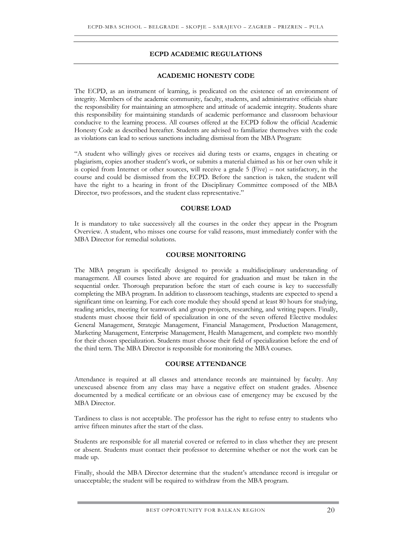#### **ECPD ACADEMIC REGULATIONS**

#### **ACADEMIC HONESTY CODE**

The ECPD, as an instrument of learning, is predicated on the existence of an environment of integrity. Members of the academic community, faculty, students, and administrative officials share the responsibility for maintaining an atmosphere and attitude of academic integrity. Students share this responsibility for maintaining standards of academic performance and classroom behaviour conducive to the learning process. All courses offered at the ECPD follow the official Academic Honesty Code as described hereafter. Students are advised to familiarize themselves with the code as violations can lead to serious sanctions including dismissal from the MBA Program:

"A student who willingly gives or receives aid during tests or exams, engages in cheating or plagiarism, copies another student's work, or submits a material claimed as his or her own while it is copied from Internet or other sources, will receive a grade 5 (Five) – not satisfactory, in the course and could be dismissed from the ECPD. Before the sanction is taken, the student will have the right to a hearing in front of the Disciplinary Committee composed of the MBA Director, two professors, and the student class representative."

#### **COURSE LOAD**

It is mandatory to take successively all the courses in the order they appear in the Program Overview. A student, who misses one course for valid reasons, must immediately confer with the MBA Director for remedial solutions.

#### **COURSE MONITORING**

The MBA program is specifically designed to provide a multidisciplinary understanding of management. All courses listed above are required for graduation and must be taken in the sequential order. Thorough preparation before the start of each course is key to successfully completing the MBA program. In addition to classroom teachings, students are expected to spend a significant time on learning. For each core module they should spend at least 80 hours for studying, reading articles, meeting for teamwork and group projects, researching, and writing papers. Finally, students must choose their field of specialization in one of the seven offered Elective modules: General Management, Strategic Management, Financial Management, Production Management, Marketing Management, Enterprise Management, Health Management, and complete two monthly for their chosen specialization. Students must choose their field of specialization before the end of the third term. The MBA Director is responsible for monitoring the MBA courses.

#### **COURSE ATTENDANCE**

Attendance is required at all classes and attendance records are maintained by faculty. Any unexcused absence from any class may have a negative effect on student grades. Absence documented by a medical certificate or an obvious case of emergency may be excused by the MBA Director.

Tardiness to class is not acceptable. The professor has the right to refuse entry to students who arrive fifteen minutes after the start of the class.

Students are responsible for all material covered or referred to in class whether they are present or absent. Students must contact their professor to determine whether or not the work can be made up.

Finally, should the MBA Director determine that the student's attendance record is irregular or unacceptable; the student will be required to withdraw from the MBA program.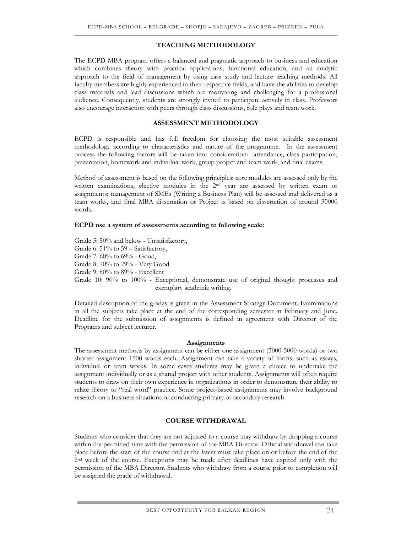#### **TEACHING METHODOLOGY**

The ECPD MBA program offers a balanced and pragmatic approach to business and education which combines theory with practical applications, functional education, and an analytic approach to the field of management by using case study and lecture teaching methods. All faculty members are highly experienced in their respective fields, and have the abilities to develop class materials and lead discussions which are motivating and challenging for a professional audience. Consequently, students are strongly invited to participate actively in class. Professors also encourage interaction with peers through class discussions, role plays and team work.

#### **ASSESSMENT METHODOLOGY**

ECPD is responsible and has full freedom for choosing the most suitable assessment methodology according to characteristics and nature of the programme. In the assessment process the following factors will be taken into consideration: attendance, class participation, presentation, homework and individual work, group project and team work, and final exams.

Method of assessment is based on the following principles: core modules are assessed only by the written examinations; elective modules in the 2nd year are assessed by written exam or assignments; management of SMEs (Writing a Business Plan) will be assessed and delivered as a team works, and final MBA dissertation or Project is based on dissertation of around 30000 words.

#### **ECPD use a system of assessments according to following scale:**

Grade 5: 50% and below - Unsatisfactory, Grade 6: 51% to 59 – Satisfactory, Grade 7: 60% to 69% - Good, Grade 8: 70% to 79% - Very Good Grade 9: 80% to 89% - Excellent Grade 10: 90% to 100% - Exceptional, demonstrate use of original thought processes and exemplary academic writing.

Detailed description of the grades is given in the Assessment Strategy Document. Examinations in all the subjects take place at the end of the corresponding semester in February and June. Deadline for the submission of assignments is defined in agreement with Director of the Programs and subject lecturer.

#### **Assignments**

The assessment methods by assignment can be either one assignment (3000-5000 words) or two shorter assignment 1500 words each. Assignment can take a variety of forms, such as essays, individual or team works. In some cases students may be given a choice to undertake the assignment individually or as a shared project with other students. Assignments will often require students to draw on their own experience in organizations in order to demonstrate their ability to relate theory to "real word" practice. Some project-based assignments may involve background research on a business situations or conducting primary or secondary research.

#### **COURSE WITHDRAWAL**

Students who consider that they are not adjusted to a course may withdraw by dropping a course within the permitted time with the permission of the MBA Director. Official withdrawal can take place before the start of the course and at the latest must take place on or before the end of the 2nd week of the course. Exceptions may be made after deadlines have expired only with the permission of the MBA Director. Students who withdraw from a course prior to completion will be assigned the grade of withdrawal.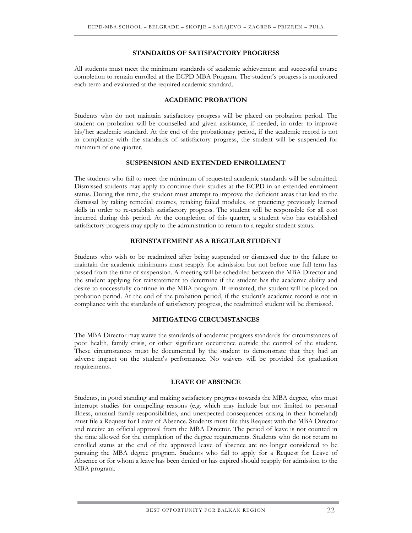#### **STANDARDS OF SATISFACTORY PROGRESS**

All students must meet the minimum standards of academic achievement and successful course completion to remain enrolled at the ECPD MBA Program. The student's progress is monitored each term and evaluated at the required academic standard.

#### **ACADEMIC PROBATION**

Students who do not maintain satisfactory progress will be placed on probation period. The student on probation will be counselled and given assistance, if needed, in order to improve his/her academic standard. At the end of the probationary period, if the academic record is not in compliance with the standards of satisfactory progress, the student will be suspended for minimum of one quarter.

#### **SUSPENSION AND EXTENDED ENROLLMENT**

The students who fail to meet the minimum of requested academic standards will be submitted. Dismissed students may apply to continue their studies at the ECPD in an extended enrolment status. During this time, the student must attempt to improve the deficient areas that lead to the dismissal by taking remedial courses, retaking failed modules, or practicing previously learned skills in order to re-establish satisfactory progress. The student will be responsible for all cost incurred during this period. At the completion of this quarter, a student who has established satisfactory progress may apply to the administration to return to a regular student status.

#### **REINSTATEMENT AS A REGULAR STUDENT**

Students who wish to be readmitted after being suspended or dismissed due to the failure to maintain the academic minimums must reapply for admission but not before one full term has passed from the time of suspension. A meeting will be scheduled between the MBA Director and the student applying for reinstatement to determine if the student has the academic ability and desire to successfully continue in the MBA program. If reinstated, the student will be placed on probation period. At the end of the probation period, if the student's academic record is not in compliance with the standards of satisfactory progress, the readmitted student will be dismissed.

#### **MITIGATING CIRCUMSTANCES**

The MBA Director may waive the standards of academic progress standards for circumstances of poor health, family crisis, or other significant occurrence outside the control of the student. These circumstances must be documented by the student to demonstrate that they had an adverse impact on the student's performance. No waivers will be provided for graduation requirements.

#### **LEAVE OF ABSENCE**

Students, in good standing and making satisfactory progress towards the MBA degree, who must interrupt studies for compelling reasons (e.g. which may include but not limited to personal illness, unusual family responsibilities, and unexpected consequences arising in their homeland) must file a Request for Leave of Absence. Students must file this Request with the MBA Director and receive an official approval from the MBA Director. The period of leave is not counted in the time allowed for the completion of the degree requirements. Students who do not return to enrolled status at the end of the approved leave of absence are no longer considered to be pursuing the MBA degree program. Students who fail to apply for a Request for Leave of Absence or for whom a leave has been denied or has expired should reapply for admission to the MBA program.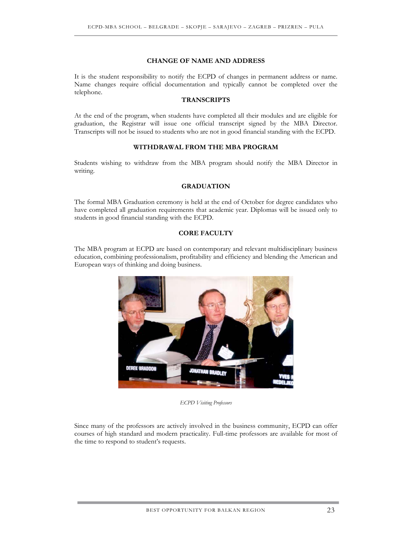#### **CHANGE OF NAME AND ADDRESS**

It is the student responsibility to notify the ECPD of changes in permanent address or name. Name changes require official documentation and typically cannot be completed over the telephone.

#### **TRANSCRIPTS**

At the end of the program, when students have completed all their modules and are eligible for graduation, the Registrar will issue one official transcript signed by the MBA Director. Transcripts will not be issued to students who are not in good financial standing with the ECPD.

#### **WITHDRAWAL FROM THE MBA PROGRAM**

Students wishing to withdraw from the MBA program should notify the MBA Director in writing.

#### **GRADUATION**

The formal MBA Graduation ceremony is held at the end of October for degree candidates who have completed all graduation requirements that academic year. Diplomas will be issued only to students in good financial standing with the ECPD.

#### **CORE FACULTY**

The MBA program at ECPD are based on contemporary and relevant multidisciplinary business education, combining professionalism, profitability and efficiency and blending the American and European ways of thinking and doing business.



#### *ECPD Visiting Professors*

Since many of the professors are actively involved in the business community, ECPD can offer courses of high standard and modern practicality. Full-time professors are available for most of the time to respond to student's requests.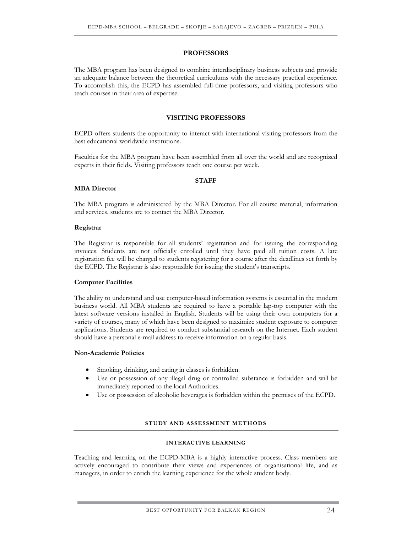#### **PROFESSORS**

The MBA program has been designed to combine interdisciplinary business subjects and provide an adequate balance between the theoretical curriculums with the necessary practical experience. To accomplish this, the ECPD has assembled full-time professors, and visiting professors who teach courses in their area of expertise.

#### **VISITING PROFESSORS**

ECPD offers students the opportunity to interact with international visiting professors from the best educational worldwide institutions.

Faculties for the MBA program have been assembled from all over the world and are recognized experts in their fields. Visiting professors teach one course per week.

#### **STAFF**

The MBA program is administered by the MBA Director. For all course material, information and services, students are to contact the MBA Director.

#### **Registrar**

**MBA Director** 

The Registrar is responsible for all students' registration and for issuing the corresponding invoices. Students are not officially enrolled until they have paid all tuition costs. A late registration fee will be charged to students registering for a course after the deadlines set forth by the ECPD. The Registrar is also responsible for issuing the student's transcripts.

#### **Computer Facilities**

The ability to understand and use computer-based information systems is essential in the modern business world. All MBA students are required to have a portable lap-top computer with the latest software versions installed in English. Students will be using their own computers for a variety of courses, many of which have been designed to maximize student exposure to computer applications. Students are required to conduct substantial research on the Internet. Each student should have a personal e-mail address to receive information on a regular basis.

#### **Non-Academic Policies**

- Smoking, drinking, and eating in classes is forbidden.
- Use or possession of any illegal drug or controlled substance is forbidden and will be immediately reported to the local Authorities.
- Use or possession of alcoholic beverages is forbidden within the premises of the ECPD.

#### **STUDY AND ASSESSMENT METHODS**

#### **INTERACTIVE LEARNING**

Teaching and learning on the ECPD-MBA is a highly interactive process. Class members are actively encouraged to contribute their views and experiences of organisational life, and as managers, in order to enrich the learning experience for the whole student body.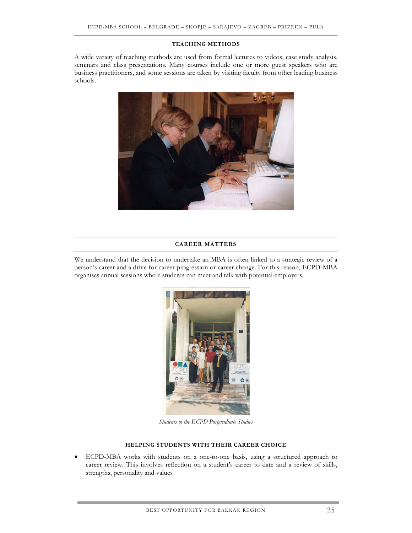#### **TEACHING METHODS**

A wide variety of teaching methods are used from formal lectures to videos, case study analysis, seminars and class presentations. Many courses include one or more guest speakers who are business practitioners, and some sessions are taken by visiting faculty from other leading business schools.



#### **CAREER MATTERS**

We understand that the decision to undertake an MBA is often linked to a strategic review of a person's career and a drive for career progression or career change. For this reason, ECPD-MBA organises annual sessions where students can meet and talk with potential employers.



*Students of the ECPD Postgraduate Studies* 

#### **HELPING STUDENTS WITH THEIR CAREER CHOICE**

• ECPD-MBA works with students on a one-to-one basis, using a structured approach to career review. This involves reflection on a student's career to date and a review of skills, strengths, personality and values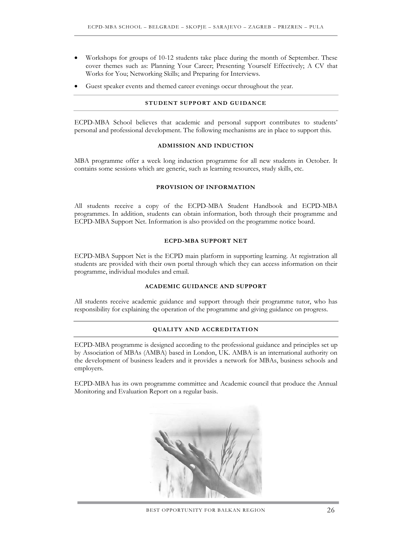- Workshops for groups of 10-12 students take place during the month of September. These cover themes such as: Planning Your Career; Presenting Yourself Effectively; A CV that Works for You; Networking Skills; and Preparing for Interviews.
- Guest speaker events and themed career evenings occur throughout the year.

#### **STUDENT SUPPORT AND GUIDANCE**

ECPD-MBA School believes that academic and personal support contributes to students' personal and professional development. The following mechanisms are in place to support this.

#### **ADMISSION AND INDUCTION**

MBA programme offer a week long induction programme for all new students in October. It contains some sessions which are generic, such as learning resources, study skills, etc.

#### **PROVISION OF INFORMATION**

All students receive a copy of the ECPD-MBA Student Handbook and ECPD-MBA programmes. In addition, students can obtain information, both through their programme and ECPD-MBA Support Net. Information is also provided on the programme notice board.

#### **ECPD-MBA SUPPORT NET**

ECPD-MBA Support Net is the ECPD main platform in supporting learning. At registration all students are provided with their own portal through which they can access information on their programme, individual modules and email.

#### **ACADEMIC GUIDANCE AND SUPPORT**

All students receive academic guidance and support through their programme tutor, who has responsibility for explaining the operation of the programme and giving guidance on progress.

#### **QUALITY AND ACCREDITATION**

ECPD-MBA programme is designed according to the professional guidance and principles set up by Association of MBAs (AMBA) based in London, UK. AMBA is an international authority on the development of business leaders and it provides a network for MBAs, business schools and employers.

ECPD-MBA has its own programme committee and Academic council that produce the Annual Monitoring and Evaluation Report on a regular basis.

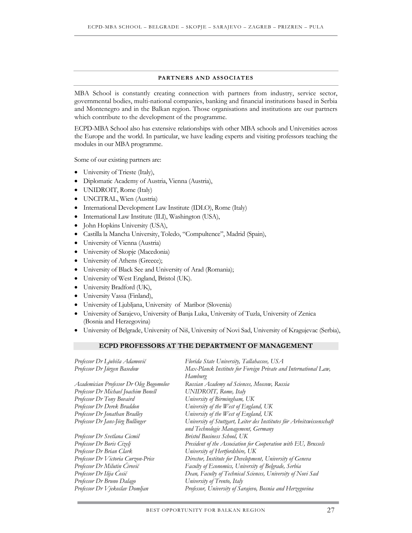#### **PARTNERS AND ASSOCIATES**

MBA School is constantly creating connection with partners from industry, service sector, governmental bodies, multi-national companies, banking and financial institutions based in Serbia and Montenegro and in the Balkan region. Those organisations and institutions are our partners which contribute to the development of the programme.

ECPD-MBA School also has extensive relationships with other MBA schools and Universities across the Europe and the world. In particular, we have leading experts and visiting professors teaching the modules in our MBA programme.

Some of our existing partners are:

- University of Trieste (Italy),
- Diplomatic Academy of Austria, Vienna (Austria),
- UNIDROIT, Rome (Italy)
- UNCITRAL, Wien (Austria)
- International Development Law Institute (IDLO), Rome (Italy)
- International Law Institute (ILI), Washington (USA),
- John Hopkins University (USA),
- Castilla la Mancha University, Toledo, "Compultence", Madrid (Spain),
- University of Vienna (Austria)
- University of Skopje (Macedonia)
- University of Athens (Greece);
- University of Black See and University of Arad (Romania);
- University of West England, Bristol (UK).
- University Bradford (UK),
- University Vassa (Finland),
- University of Ljubljana, University of Maribor (Slovenia)
- University of Sarajevo, University of Banja Luka, University of Tuzla, University of Zenica (Bosnia and Herzegovina)
- University of Belgrade, University of Niš, University of Novi Sad, University of Kragujevac (Serbia),

#### **ECPD PROFESSORS AT THE DEPARTMENT OF MANAGEMENT**

| Professor Dr Ljubiša Adamović           | Florida State University, Tallahassee, USA                             |
|-----------------------------------------|------------------------------------------------------------------------|
| Professor Dr Jürgen Basedow             | Max-Planck Institute for Foreign Private and International Law,        |
|                                         | Hamburg                                                                |
| Academician Professor Dr Oleg Bogomolov | Russian Academy od Sciences, Moscow, Russia                            |
| Professor Dr Michael Joachim Bonell     | UNIDROIT, Rome, Italy                                                  |
| Professor Dr Tony Bovaird               | University of Birmingham, UK                                           |
| Professor Dr Derek Braddon              | University of the West of England, UK                                  |
| Professor Dr Jonathan Bradley           | University of the West of England, UK                                  |
| Professor Dr Jans-Jörg Bullinger        | University of Stuttgart, Leiter des Institutes für Arbeitswissenschaft |
|                                         | und Technologie Management, Germany                                    |
| Professor Dr Svetlana Cicmil            | <b>Bristol Business School, UK</b>                                     |
| Professor Dr Boris Cizelj               | President of the Association for Cooperation with EU, Brussels         |
| Professor Dr Brian Clark                | University of Hertfordshire, UK                                        |
| Professor Dr Victoria Curzon-Price      | Director, Institute for Development, University of Geneva              |
| Professor Dr Milutin Ćirović            | Faculty of Economics, University of Belgrade, Serbia                   |
| Professor Dr Ilija Ćosić                | Dean, Faculty of Technical Sciences, University of Novi Sad            |
| Professor Dr Bruno Dalago               | University of Trento, Italy                                            |
| Professor Dr Vjekoslav Domljan          | Professor, University of Sarajevo, Bosnia and Herzegovina              |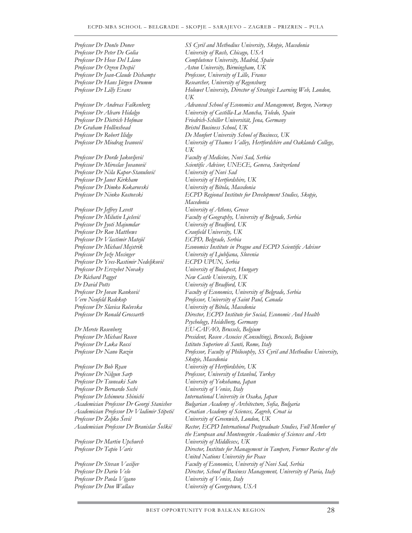*Professor Dr Peter De Golia University of Rush, Chicago, USA*

*Dr Graham Hollinshead Bristol Business School, UK* 

*Professor Dr Nila Kapor-Stanulović University of Novi Sad Professor Dr Janet Kirkham University of Hertfordshire, UK Professor Dr Dimko Kokarovski University of Bitola, Macedonia*

*Professor Dr Jeffrey Levett University of Athens, Greece Professor Dr Jyoti Majumdar University of Bradford, UK Professor Dr Ron Matthews Cranfield University, UK Professor Dr Vlastimir Matejić ECPD, Belgrade, Serbia Professor Dr Jože Mecinger University of Ljubljana, Slovenia Professor Dr Yves-Rastimir Nedeljković ECPD UPUN, Serbia Professor Dr Erszebet Novaky University of Budapest, Hungary Dr Richard Pagget New Castle University, UK Dr David Potts University of Bradford, UK Professor Dr Slavica Ročevska University of Bitola, Macedonia*

*Professor Dr Bob Ryan University of Hertfordshire, UK Professor Dr Nilgun Sarp Professor, University of Istanbul, Turkey Professor Dr Tsuneaki Sato University of Yokohama, Japan Professor Dr Bernardo Sechi University of Venice, Italy Professor Dr Ichimura Shinichi International University in Osaka, Japan Professor Dr Željko Šević University of Greenwich, London, UK*

*Professor Dr Martin Upchurch University of Middlesex, UK*

*Professor Dr Paola Vigano University of Venice, Italy*

*Professor Dr Dončo Donev SS Cyril and Methodius University, Skopje, Macedonia Professor Dr Hose Del Llano Complutence University, Madrid, Spain Professor Dr Ozren Despić Aston University, Birmingham, UK Professor Dr Jean-Claude Dishamps Professor, University of Lille, France Professor Dr Hans Jürgen Drumm Researcher, University of Regensburg Professor Dr Lilly Evans Holowet University, Director of Strategic Learning Web, London, UK Professor Dr Andreas Falkenberg Advanced School of Economics and Management, Bergen, Norway Professor Dr Alvaro Hidalgo University of Castilla-La Mancha, Toledo, Spain Professor Dr Dietrich Hofman Friedrich-Schiller Universität, Jena, Germany Professor Dr Robert Ilidge De Monfort University School of Business, UK Professor Dr Miodrag Ivanović University of Thames Valley, Hertfordshire and Oaklands College, UK Professor Dr Đorđe Jakovljević Faculty of Medicine, Novi Sad, Serbia Professor Dr Miroslav Jovanović Scientific Advisor, UNECE, Geneva, Switzerland Professor Dr Ninko Kostovski ECPD Regional Institute for Development Studies, Skopje, Macedonia Professor Dr Milutin Lješević Faculty of Geography, University of Belgrade, Serbia Professor Dr Michael Mejstrik Economics Institute in Prague and ECPD Scientific Advisor Professor Dr Jovan Ranković Faculty of Economics, University of Belgrade, Serbia Vern Neufeld Redekop Professor, University of Saint Paul, Canada Professor Dr Ronald Grossarth Director, ECPD Institute for Social, Economic And Health Psychology, Heidelberg, Germany Dr Merete Rosenberg EU-CAFAO, Brussels, Belgium Professor Dr Michael Rosen President, Rosen Associes (Consulting), Brussels, Belgium Professor Dr Luka Rossi Istituto Superiore di Santi, Rome, Italy Professor Dr Nano Ruzin Professor, Faculty of Philosophy, SS Cyril and Methodius University, Skopje, Macedonia Academician Professor Dr Georgi Stanishev Bulgarian Academy of Architecture, Sofia, Bulgaria Academician Professor Dr Vladimir Stipetić Croatian Academy of Sciences, Zagreb, Croat ia Academician Professor Dr Branislav Šoškić Rector, ECPD International Postgraduate Studies, Full Member of the European and Montenegrin Academies of Sciences and Arts Professor Dr Tapio Varis Director, Institute for Management in Tampere, Former Rector of the United Nations University for Peace Professor Dr Stevan Vasiljev Faculty of Economics, University of Novi Sad, Serbia Professor Dr Dario Velo Director, School of Business Management, University of Pavia, Italy Professor Dr Don Wallace University of Georgetown, USA*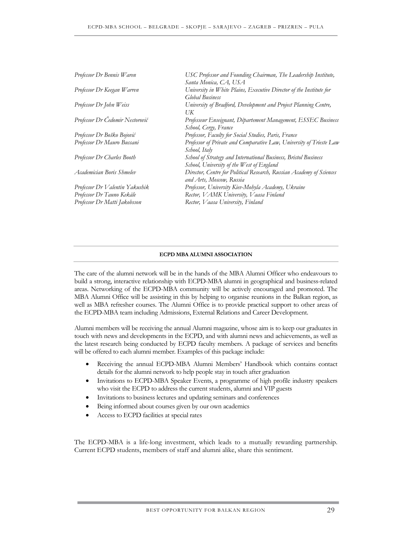| Professor Dr Bennis Waren       | USC Professor and Founding Chairman, The Leadership Institute,<br>Santa Monica, CA, USA                      |
|---------------------------------|--------------------------------------------------------------------------------------------------------------|
| Professor Dr Keegan Warren      | University in White Plains, Executive Director of the Institute for<br><b>Global Business</b>                |
| Professor Dr John Weiss         | University of Bradford, Development and Project Planning Centre,<br>UK                                       |
| Professor Dr Čedomir Nestorović | Professeur Enseignant, Département Management, ESSEC Business<br>School, Cergy, France                       |
| Professor Dr Boško Bojović      | Professor, Faculty for Social Studies, Paris, France                                                         |
| Professor Dr Mauro Bussani      | Professor of Private and Comparative Law, University of Trieste Law<br>School, Italy                         |
| Professor Dr Charles Booth      | School of Strategy and International Business, Bristol Business<br>School, University of the West of England |
| Academician Boris Shmelev       | Director, Centre for Political Research, Russian Academy of Sciences<br>and Arts, Moscow, Russia             |
| Professor Dr Valentin Yakushik  | Professor, University Kiev-Mohyla Academy, Ukraine                                                           |
| Professor Dr Tauno Kekäle       | Rector, VAMK University, Vaasa Finland                                                                       |
| Professor Dr Matti Jakobsson    | Rector, Vaasa University, Finland                                                                            |

#### **ECPD MBA ALUMNI ASSOCIATION**

The care of the alumni network will be in the hands of the MBA Alumni Officer who endeavours to build a strong, interactive relationship with ECPD-MBA alumni in geographical and business-related areas. Networking of the ECPD-MBA community will be actively encouraged and promoted. The MBA Alumni Office will be assisting in this by helping to organise reunions in the Balkan region, as well as MBA refresher courses. The Alumni Office is to provide practical support to other areas of the ECPD-MBA team including Admissions, External Relations and Career Development.

Alumni members will be receiving the annual Alumni magazine, whose aim is to keep our graduates in touch with news and developments in the ECPD, and with alumni news and achievements, as well as the latest research being conducted by ECPD faculty members. A package of services and benefits will be offered to each alumni member. Examples of this package include:

- Receiving the annual ECPD-MBA Alumni Members' Handbook which contains contact details for the alumni network to help people stay in touch after graduation
- Invitations to ECPD-MBA Speaker Events, a programme of high profile industry speakers who visit the ECPD to address the current students, alumni and VIP guests
- Invitations to business lectures and updating seminars and conferences
- Being informed about courses given by our own academics
- Access to ECPD facilities at special rates

The ECPD-MBA is a life-long investment, which leads to a mutually rewarding partnership. Current ECPD students, members of staff and alumni alike, share this sentiment.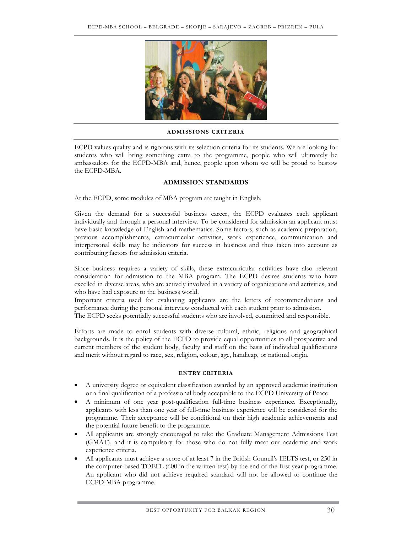

#### **ADMISSIONS CRITERIA**

ECPD values quality and is rigorous with its selection criteria for its students. We are looking for students who will bring something extra to the programme, people who will ultimately be ambassadors for the ECPD-MBA and, hence, people upon whom we will be proud to bestow the ECPD-MBA.

#### **ADMISSION STANDARDS**

At the ECPD, some modules of MBA program are taught in English.

Given the demand for a successful business career, the ECPD evaluates each applicant individually and through a personal interview. To be considered for admission an applicant must have basic knowledge of English and mathematics. Some factors, such as academic preparation, previous accomplishments, extracurricular activities, work experience, communication and interpersonal skills may be indicators for success in business and thus taken into account as contributing factors for admission criteria.

Since business requires a variety of skills, these extracurricular activities have also relevant consideration for admission to the MBA program. The ECPD desires students who have excelled in diverse areas, who are actively involved in a variety of organizations and activities, and who have had exposure to the business world.

Important criteria used for evaluating applicants are the letters of recommendations and performance during the personal interview conducted with each student prior to admission.

The ECPD seeks potentially successful students who are involved, committed and responsible.

Efforts are made to enrol students with diverse cultural, ethnic, religious and geographical backgrounds. It is the policy of the ECPD to provide equal opportunities to all prospective and current members of the student body, faculty and staff on the basis of individual qualifications and merit without regard to race, sex, religion, colour, age, handicap, or national origin.

#### **ENTRY CRITERIA**

- A university degree or equivalent classification awarded by an approved academic institution or a final qualification of a professional body acceptable to the ECPD University of Peace
- A minimum of one year post-qualification full-time business experience. Exceptionally, applicants with less than one year of full-time business experience will be considered for the programme. Their acceptance will be conditional on their high academic achievements and the potential future benefit to the programme.
- All applicants are strongly encouraged to take the Graduate Management Admissions Test (GMAT), and it is compulsory for those who do not fully meet our academic and work experience criteria.
- All applicants must achieve a score of at least 7 in the British Council's IELTS test, or 250 in the computer-based TOEFL (600 in the written test) by the end of the first year programme. An applicant who did not achieve required standard will not be allowed to continue the ECPD-MBA programme.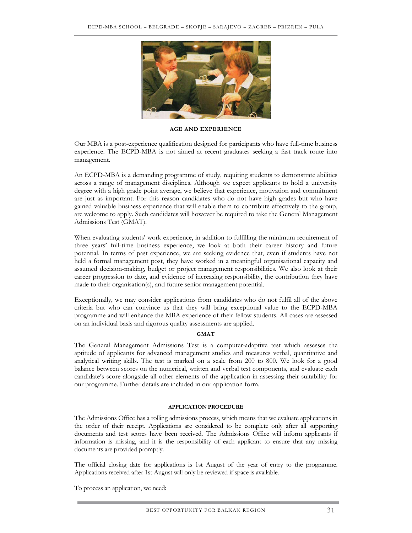

**AGE AND EXPERIENCE** 

Our MBA is a post-experience qualification designed for participants who have full-time business experience. The ECPD-MBA is not aimed at recent graduates seeking a fast track route into management.

An ECPD-MBA is a demanding programme of study, requiring students to demonstrate abilities across a range of management disciplines. Although we expect applicants to hold a university degree with a high grade point average, we believe that experience, motivation and commitment are just as important. For this reason candidates who do not have high grades but who have gained valuable business experience that will enable them to contribute effectively to the group, are welcome to apply. Such candidates will however be required to take the General Management Admissions Test (GMAT).

When evaluating students' work experience, in addition to fulfilling the minimum requirement of three years' full-time business experience, we look at both their career history and future potential. In terms of past experience, we are seeking evidence that, even if students have not held a formal management post, they have worked in a meaningful organisational capacity and assumed decision-making, budget or project management responsibilities. We also look at their career progression to date, and evidence of increasing responsibility, the contribution they have made to their organisation(s), and future senior management potential.

Exceptionally, we may consider applications from candidates who do not fulfil all of the above criteria but who can convince us that they will bring exceptional value to the ECPD-MBA programme and will enhance the MBA experience of their fellow students. All cases are assessed on an individual basis and rigorous quality assessments are applied.

#### **GMAT**

The General Management Admissions Test is a computer-adaptive test which assesses the aptitude of applicants for advanced management studies and measures verbal, quantitative and analytical writing skills. The test is marked on a scale from 200 to 800. We look for a good balance between scores on the numerical, written and verbal test components, and evaluate each candidate's score alongside all other elements of the application in assessing their suitability for our programme. Further details are included in our application form.

#### **APPLICATION PROCEDURE**

The Admissions Office has a rolling admissions process, which means that we evaluate applications in the order of their receipt. Applications are considered to be complete only after all supporting documents and test scores have been received. The Admissions Office will inform applicants if information is missing, and it is the responsibility of each applicant to ensure that any missing documents are provided promptly.

The official closing date for applications is 1st August of the year of entry to the programme. Applications received after 1st August will only be reviewed if space is available.

To process an application, we need: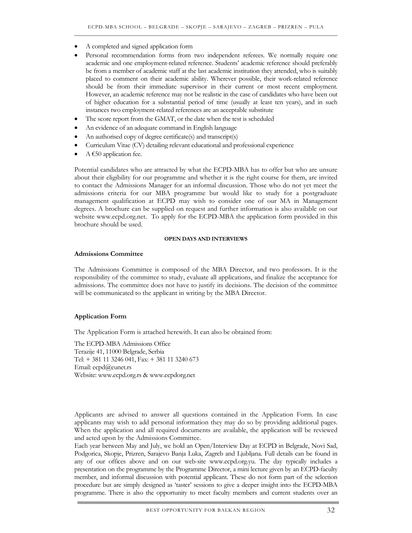- A completed and signed application form
- Personal recommendation forms from two independent referees. We normally require one academic and one employment-related reference. Students' academic reference should preferably be from a member of academic staff at the last academic institution they attended, who is suitably placed to comment on their academic ability. Wherever possible, their work-related reference should be from their immediate supervisor in their current or most recent employment. However, an academic reference may not be realistic in the case of candidates who have been out of higher education for a substantial period of time (usually at least ten years), and in such instances two employment-related references are an acceptable substitute
- The score report from the GMAT, or the date when the test is scheduled
- An evidence of an adequate command in English language
- An authorised copy of degree certificate(s) and transcript(s)
- Curriculum Vitae (CV) detailing relevant educational and professional experience
- A  $€50$  application fee.

Potential candidates who are attracted by what the ECPD-MBA has to offer but who are unsure about their eligibility for our programme and whether it is the right course for them, are invited to contact the Admissions Manager for an informal discussion. Those who do not yet meet the admissions criteria for our MBA programme but would like to study for a postgraduate management qualification at ECPD may wish to consider one of our MA in Management degrees. A brochure can be supplied on request and further information is also available on our website www.ecpd.org.net. To apply for the ECPD-MBA the application form provided in this brochure should be used.

#### **OPEN DAYS AND INTERVIEWS**

#### **Admissions Committee**

The Admissions Committee is composed of the MBA Director, and two professors. It is the responsibility of the committee to study, evaluate all applications, and finalize the acceptance for admissions. The committee does not have to justify its decisions. The decision of the committee will be communicated to the applicant in writing by the MBA Director.

#### **Application Form**

The Application Form is attached herewith. It can also be obtained from:

The ECPD-MBA Admissions Office Terazije 41, 11000 Belgrade, Serbia Tel: + 381 11 3246 041, Fax: + 381 11 3240 673 Email: ecpd@eunet.rs Website: www.ecpd.org.rs & www.ecpdorg.net

Applicants are advised to answer all questions contained in the Application Form. In case applicants may wish to add personal information they may do so by providing additional pages. When the application and all required documents are available, the application will be reviewed and acted upon by the Admissions Committee.

Each year between May and July, we hold an Open/Interview Day at ECPD in Belgrade, Novi Sad, Podgorica, Skopje, Prizren, Sarajevo Banja Luka, Zagreb and Ljubljana. Full details can be found in any of our offices above and on our web-site www.ecpd.org.yu. The day typically includes a presentation on the programme by the Programme Director, a mini lecture given by an ECPD-faculty member, and informal discussion with potential applicant. These do not form part of the selection procedure but are simply designed as 'taster' sessions to give a deeper insight into the ECPD-MBA programme. There is also the opportunity to meet faculty members and current students over an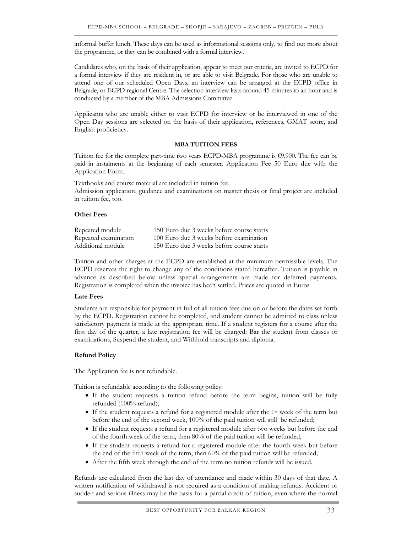informal buffet lunch. These days can be used as informational sessions only, to find out more about the programme, or they can be combined with a formal interview.

Candidates who, on the basis of their application, appear to meet our criteria, are invited to ECPD for a formal interview if they are resident in, or are able to visit Belgrade. For those who are unable to attend one of our scheduled Open Days, an interview can be arranged at the ECPD office in Belgrade, or ECPD regional Centre. The selection interview lasts around 45 minutes to an hour and is conducted by a member of the MBA Admissions Committee.

Applicants who are unable either to visit ECPD for interview or be interviewed in one of the Open Day sessions are selected on the basis of their application, references, GMAT score, and English proficiency.

#### **MBA TUITION FEES**

Tuition fee for the complete part-time two years ECPD-MBA programme is €9,900. The fee can be paid in instalments at the beginning of each semester. Application Fee 50 Euro due with the Application Form.

Textbooks and course material are included in tuition fee. Admission application, guidance and examinations on master thesis or final project are included in tuition fee, too.

#### **Other Fees**

| Repeated module      | 150 Euro due 3 weeks before course starts |
|----------------------|-------------------------------------------|
| Repeated examination | 100 Euro due 3 weeks before examination   |
| Additional module    | 150 Euro due 3 weeks before course starts |

Tuition and other charges at the ECPD are established at the minimum permissible levels. The ECPD reserves the right to change any of the conditions stated hereafter. Tuition is payable in advance as described below unless special arrangements are made for deferred payments. Registration is completed when the invoice has been settled. Prices are quoted in Euros

#### **Late Fees**

Students are responsible for payment in full of all tuition fees due on or before the dates set forth by the ECPD. Registration cannot be completed, and student cannot be admitted to class unless satisfactory payment is made at the appropriate time. If a student registers for a course after the first day of the quarter, a late registration fee will be charged: Bar the student from classes or examinations, Suspend the student, and Withhold transcripts and diploma.

#### **Refund Policy**

The Application fee is not refundable.

Tuition is refundable according to the following policy:

- If the student requests a tuition refund before the term begins, tuition will be fully refunded (100% refund);
- If the student requests a refund for a registered module after the 1st week of the term but before the end of the second week, 100% of the paid tuition will still be refunded;
- If the student requests a refund for a registered module after two weeks but before the end of the fourth week of the term, then 80% of the paid tuition will be refunded;
- If the student requests a refund for a registered module after the fourth week but before the end of the fifth week of the term, then 60% of the paid tuition will be refunded;
- After the fifth week through the end of the term no tuition refunds will be issued.

Refunds are calculated from the last day of attendance and made within 30 days of that date. A written notification of withdrawal is not required as a condition of making refunds. Accident or sudden and serious illness may be the basis for a partial credit of tuition, even where the normal